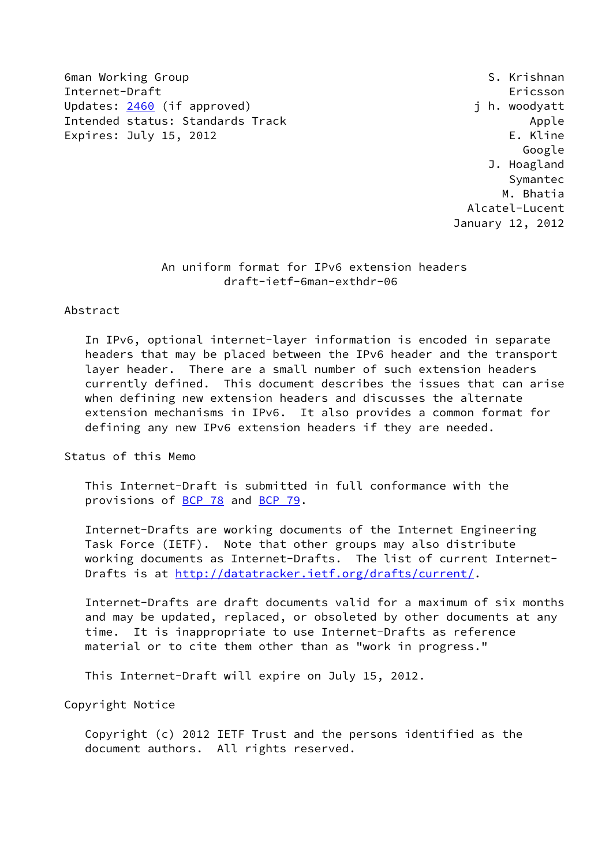6man Working Group States of the Second States of the Second States of S. Krishnan Internet-Draft Ericsson Updates: [2460](https://datatracker.ietf.org/doc/pdf/rfc2460) (if approved) and the set of the woodyatt Intended status: Standards Track Apple Apple Expires: July 15, 2012 **Expires: 1999** 

 Google J. Hoagland Symantec M. Bhatia Alcatel-Lucent January 12, 2012

# An uniform format for IPv6 extension headers draft-ietf-6man-exthdr-06

#### Abstract

 In IPv6, optional internet-layer information is encoded in separate headers that may be placed between the IPv6 header and the transport layer header. There are a small number of such extension headers currently defined. This document describes the issues that can arise when defining new extension headers and discusses the alternate extension mechanisms in IPv6. It also provides a common format for defining any new IPv6 extension headers if they are needed.

Status of this Memo

 This Internet-Draft is submitted in full conformance with the provisions of [BCP 78](https://datatracker.ietf.org/doc/pdf/bcp78) and [BCP 79](https://datatracker.ietf.org/doc/pdf/bcp79).

 Internet-Drafts are working documents of the Internet Engineering Task Force (IETF). Note that other groups may also distribute working documents as Internet-Drafts. The list of current Internet- Drafts is at<http://datatracker.ietf.org/drafts/current/>.

 Internet-Drafts are draft documents valid for a maximum of six months and may be updated, replaced, or obsoleted by other documents at any time. It is inappropriate to use Internet-Drafts as reference material or to cite them other than as "work in progress."

This Internet-Draft will expire on July 15, 2012.

Copyright Notice

 Copyright (c) 2012 IETF Trust and the persons identified as the document authors. All rights reserved.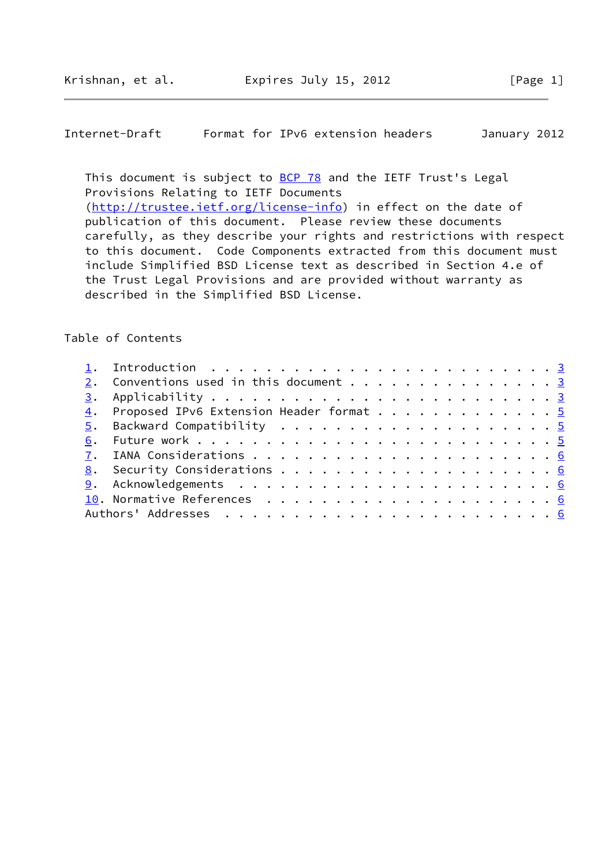## Internet-Draft Format for IPv6 extension headers January 2012

This document is subject to **[BCP 78](https://datatracker.ietf.org/doc/pdf/bcp78)** and the IETF Trust's Legal Provisions Relating to IETF Documents [\(http://trustee.ietf.org/license-info](http://trustee.ietf.org/license-info)) in effect on the date of publication of this document. Please review these documents carefully, as they describe your rights and restrictions with respect to this document. Code Components extracted from this document must include Simplified BSD License text as described in Section 4.e of the Trust Legal Provisions and are provided without warranty as described in the Simplified BSD License.

## Table of Contents

|  | 2. Conventions used in this document 3     |  |
|--|--------------------------------------------|--|
|  |                                            |  |
|  | 4. Proposed IPv6 Extension Header format 5 |  |
|  |                                            |  |
|  |                                            |  |
|  |                                            |  |
|  |                                            |  |
|  |                                            |  |
|  |                                            |  |
|  |                                            |  |
|  |                                            |  |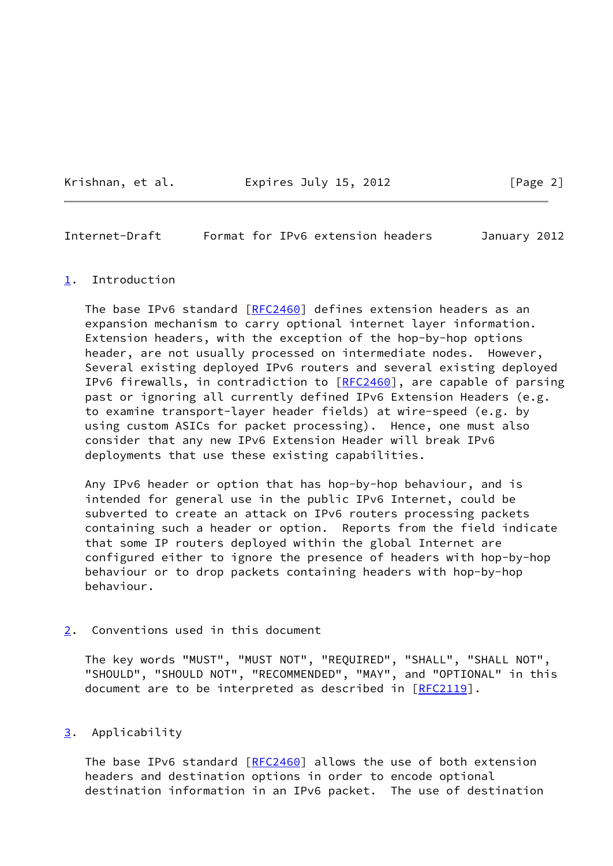Krishnan, et al. Expires July 15, 2012 [Page 2]

<span id="page-2-1"></span>Internet-Draft Format for IPv6 extension headers January 2012

#### <span id="page-2-0"></span>[1](#page-2-0). Introduction

 The base IPv6 standard [\[RFC2460](https://datatracker.ietf.org/doc/pdf/rfc2460)] defines extension headers as an expansion mechanism to carry optional internet layer information. Extension headers, with the exception of the hop-by-hop options header, are not usually processed on intermediate nodes. However, Several existing deployed IPv6 routers and several existing deployed IPv6 firewalls, in contradiction to [\[RFC2460](https://datatracker.ietf.org/doc/pdf/rfc2460)], are capable of parsing past or ignoring all currently defined IPv6 Extension Headers (e.g. to examine transport-layer header fields) at wire-speed (e.g. by using custom ASICs for packet processing). Hence, one must also consider that any new IPv6 Extension Header will break IPv6 deployments that use these existing capabilities.

 Any IPv6 header or option that has hop-by-hop behaviour, and is intended for general use in the public IPv6 Internet, could be subverted to create an attack on IPv6 routers processing packets containing such a header or option. Reports from the field indicate that some IP routers deployed within the global Internet are configured either to ignore the presence of headers with hop-by-hop behaviour or to drop packets containing headers with hop-by-hop behaviour.

<span id="page-2-2"></span>[2](#page-2-2). Conventions used in this document

 The key words "MUST", "MUST NOT", "REQUIRED", "SHALL", "SHALL NOT", "SHOULD", "SHOULD NOT", "RECOMMENDED", "MAY", and "OPTIONAL" in this document are to be interpreted as described in [\[RFC2119](https://datatracker.ietf.org/doc/pdf/rfc2119)].

### <span id="page-2-3"></span>[3](#page-2-3). Applicability

 The base IPv6 standard [\[RFC2460](https://datatracker.ietf.org/doc/pdf/rfc2460)] allows the use of both extension headers and destination options in order to encode optional destination information in an IPv6 packet. The use of destination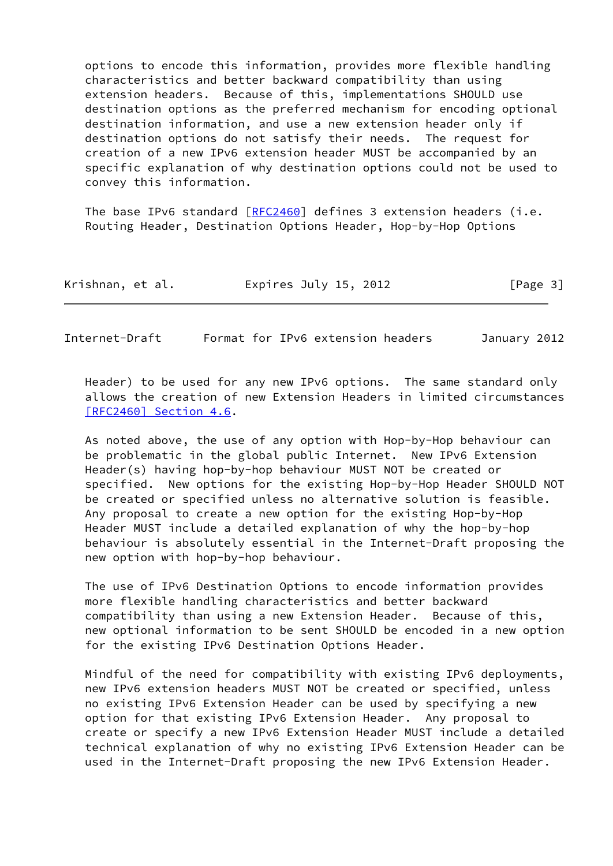options to encode this information, provides more flexible handling characteristics and better backward compatibility than using extension headers. Because of this, implementations SHOULD use destination options as the preferred mechanism for encoding optional destination information, and use a new extension header only if destination options do not satisfy their needs. The request for creation of a new IPv6 extension header MUST be accompanied by an specific explanation of why destination options could not be used to convey this information.

The base IPv6 standard  $[RFC2460]$  $[RFC2460]$  defines 3 extension headers (i.e. Routing Header, Destination Options Header, Hop-by-Hop Options

| Krishnan, et al. | Expires July 15, 2012 | [Page 3] |
|------------------|-----------------------|----------|
|------------------|-----------------------|----------|

Internet-Draft Format for IPv6 extension headers January 2012

 Header) to be used for any new IPv6 options. The same standard only allows the creation of new Extension Headers in limited circumstances [\[RFC2460\] Section](https://datatracker.ietf.org/doc/pdf/rfc2460#section-4.6) 4.6.

 As noted above, the use of any option with Hop-by-Hop behaviour can be problematic in the global public Internet. New IPv6 Extension Header(s) having hop-by-hop behaviour MUST NOT be created or specified. New options for the existing Hop-by-Hop Header SHOULD NOT be created or specified unless no alternative solution is feasible. Any proposal to create a new option for the existing Hop-by-Hop Header MUST include a detailed explanation of why the hop-by-hop behaviour is absolutely essential in the Internet-Draft proposing the new option with hop-by-hop behaviour.

 The use of IPv6 Destination Options to encode information provides more flexible handling characteristics and better backward compatibility than using a new Extension Header. Because of this, new optional information to be sent SHOULD be encoded in a new option for the existing IPv6 Destination Options Header.

 Mindful of the need for compatibility with existing IPv6 deployments, new IPv6 extension headers MUST NOT be created or specified, unless no existing IPv6 Extension Header can be used by specifying a new option for that existing IPv6 Extension Header. Any proposal to create or specify a new IPv6 Extension Header MUST include a detailed technical explanation of why no existing IPv6 Extension Header can be used in the Internet-Draft proposing the new IPv6 Extension Header.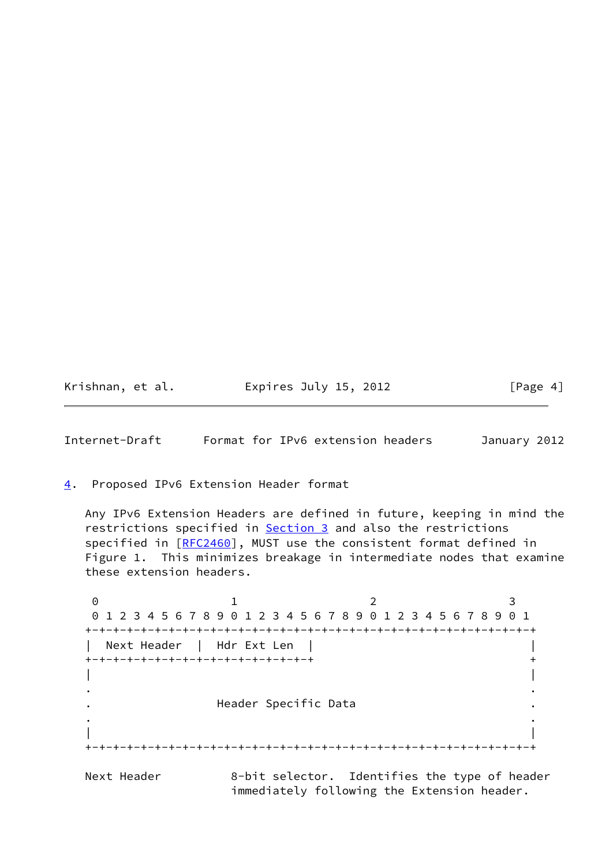| Krishnan, et al. | Expires July 15, 2012 | [Page 4] |
|------------------|-----------------------|----------|
|------------------|-----------------------|----------|

<span id="page-4-1"></span>Internet-Draft Format for IPv6 extension headers January 2012

<span id="page-4-0"></span>[4](#page-4-0). Proposed IPv6 Extension Header format

 Any IPv6 Extension Headers are defined in future, keeping in mind the restrictions specified in [Section 3](#page-2-3) and also the restrictions specified in [\[RFC2460](https://datatracker.ietf.org/doc/pdf/rfc2460)], MUST use the consistent format defined in Figure 1. This minimizes breakage in intermediate nodes that examine these extension headers.

0 1 2 3 0 1 2 3 4 5 6 7 8 9 0 1 2 3 4 5 6 7 8 9 0 1 2 3 4 5 6 7 8 9 0 1 +-+-+-+-+-+-+-+-+-+-+-+-+-+-+-+-+-+-+-+-+-+-+-+-+-+-+-+-+-+-+-+-+ | Next Header | Hdr Ext Len | | +-+-+-+-+-+-+-+-+-+-+-+-+-+-+-+-+ + | | . . . Header Specific Data . . . | | +-+-+-+-+-+-+-+-+-+-+-+-+-+-+-+-+-+-+-+-+-+-+-+-+-+-+-+-+-+-+-+-+ Next Header 8-bit selector. Identifies the type of header

immediately following the Extension header.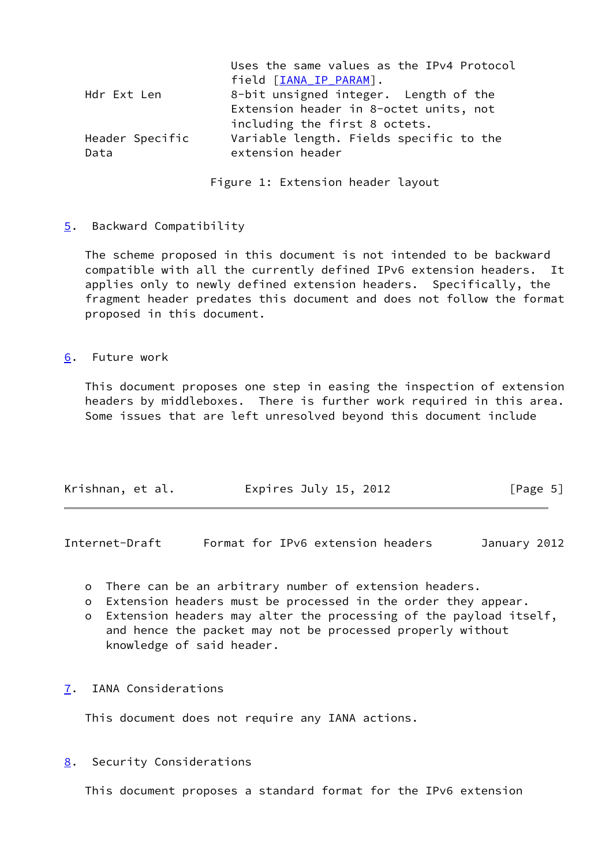|                 | Uses the same values as the IPv4 Protocol<br>field [IANA IP PARAM]. |
|-----------------|---------------------------------------------------------------------|
|                 |                                                                     |
| Hdr Ext Len     | 8-bit unsigned integer. Length of the                               |
|                 | Extension header in 8-octet units, not                              |
|                 | including the first 8 octets.                                       |
| Header Specific | Variable length. Fields specific to the                             |
| Data            | extension header                                                    |
|                 |                                                                     |

Figure 1: Extension header layout

### <span id="page-5-0"></span>[5](#page-5-0). Backward Compatibility

 The scheme proposed in this document is not intended to be backward compatible with all the currently defined IPv6 extension headers. It applies only to newly defined extension headers. Specifically, the fragment header predates this document and does not follow the format proposed in this document.

<span id="page-5-1"></span>[6](#page-5-1). Future work

 This document proposes one step in easing the inspection of extension headers by middleboxes. There is further work required in this area. Some issues that are left unresolved beyond this document include

| Krishnan, et al. | Expires July 15, 2012 | [Page 5] |
|------------------|-----------------------|----------|
|                  |                       |          |

<span id="page-5-3"></span>Internet-Draft Format for IPv6 extension headers January 2012

- o There can be an arbitrary number of extension headers.
- o Extension headers must be processed in the order they appear.
- o Extension headers may alter the processing of the payload itself, and hence the packet may not be processed properly without knowledge of said header.
- <span id="page-5-2"></span>[7](#page-5-2). IANA Considerations

This document does not require any IANA actions.

<span id="page-5-4"></span>[8](#page-5-4). Security Considerations

This document proposes a standard format for the IPv6 extension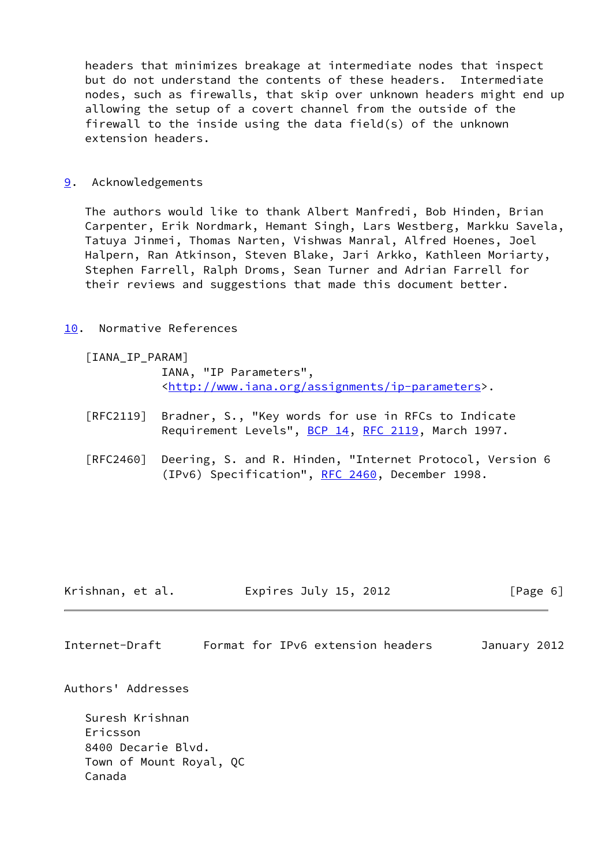headers that minimizes breakage at intermediate nodes that inspect but do not understand the contents of these headers. Intermediate nodes, such as firewalls, that skip over unknown headers might end up allowing the setup of a covert channel from the outside of the firewall to the inside using the data field(s) of the unknown extension headers.

<span id="page-6-0"></span>[9](#page-6-0). Acknowledgements

 The authors would like to thank Albert Manfredi, Bob Hinden, Brian Carpenter, Erik Nordmark, Hemant Singh, Lars Westberg, Markku Savela, Tatuya Jinmei, Thomas Narten, Vishwas Manral, Alfred Hoenes, Joel Halpern, Ran Atkinson, Steven Blake, Jari Arkko, Kathleen Moriarty, Stephen Farrell, Ralph Droms, Sean Turner and Adrian Farrell for their reviews and suggestions that made this document better.

<span id="page-6-1"></span>[10.](#page-6-1) Normative References

<span id="page-6-2"></span>[IANA\_IP\_PARAM]

 IANA, "IP Parameters", <[http://www.iana.org/assignments/ip-parameters>](http://www.iana.org/assignments/ip-parameters).

- [RFC2119] Bradner, S., "Key words for use in RFCs to Indicate Requirement Levels", [BCP 14](https://datatracker.ietf.org/doc/pdf/bcp14), [RFC 2119](https://datatracker.ietf.org/doc/pdf/rfc2119), March 1997.
- [RFC2460] Deering, S. and R. Hinden, "Internet Protocol, Version 6 (IPv6) Specification", [RFC 2460](https://datatracker.ietf.org/doc/pdf/rfc2460), December 1998.

| Krishnan, et al. | Expires July 15, 2012 | [Page 6] |
|------------------|-----------------------|----------|
|------------------|-----------------------|----------|

Internet-Draft Format for IPv6 extension headers January 2012

Authors' Addresses

 Suresh Krishnan Ericsson 8400 Decarie Blvd. Town of Mount Royal, QC Canada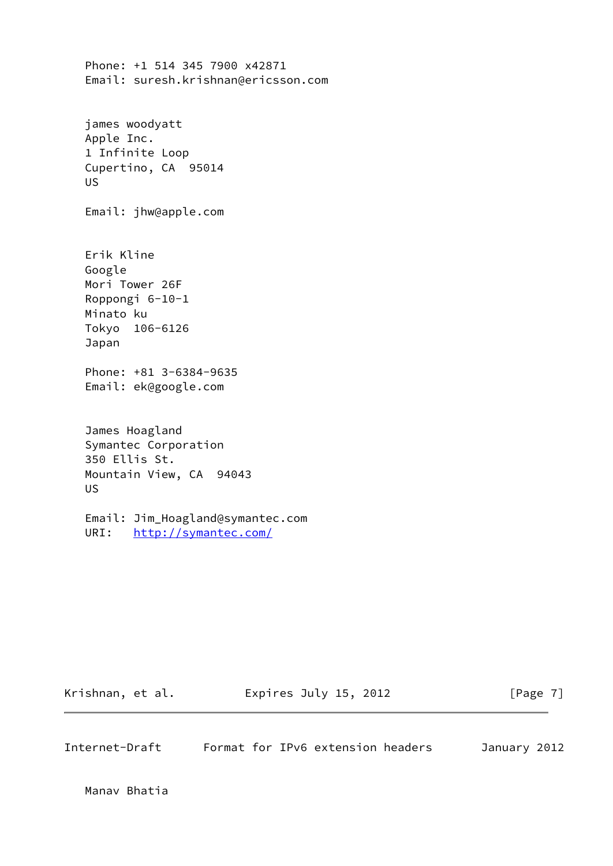Phone: +1 514 345 7900 x42871 Email: suresh.krishnan@ericsson.com james woodyatt Apple Inc. 1 Infinite Loop Cupertino, CA 95014 US Email: jhw@apple.com Erik Kline Google Mori Tower 26F Roppongi 6-10-1 Minato ku Tokyo 106-6126 Japan Phone: +81 3-6384-9635 Email: ek@google.com James Hoagland Symantec Corporation 350 Ellis St. Mountain View, CA 94043 US

 Email: Jim\_Hoagland@symantec.com URI: <http://symantec.com/>

| Krishnan, et al. | Expires July 15, 2012 | [Page 7] |
|------------------|-----------------------|----------|
|                  |                       |          |

| Internet-Draft |  | Format for IPv6 extension headers | January 2012 |  |
|----------------|--|-----------------------------------|--------------|--|
|                |  |                                   |              |  |

Manav Bhatia